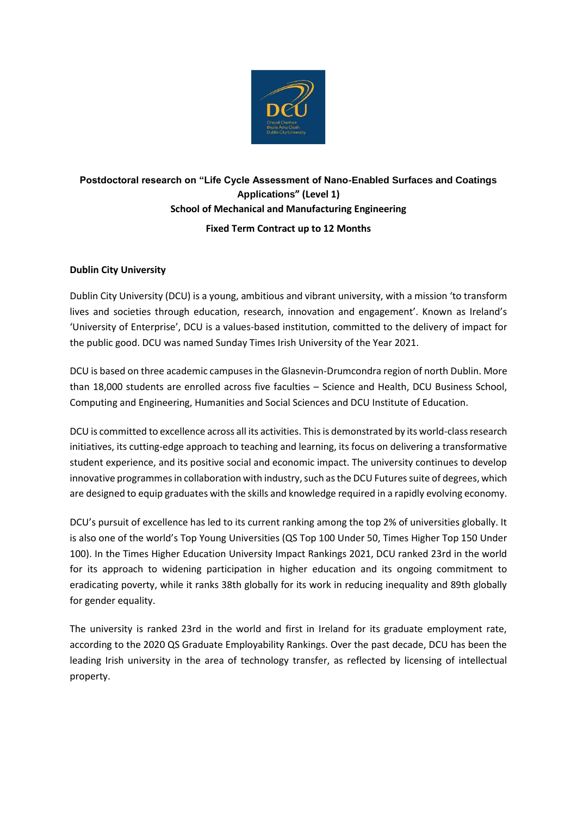

# **Postdoctoral research on "Life Cycle Assessment of Nano-Enabled Surfaces and Coatings Applications" (Level 1) School of Mechanical and Manufacturing Engineering Fixed Term Contract up to 12 Months**

## **Dublin City University**

Dublin City University (DCU) is a young, ambitious and vibrant university, with a mission 'to transform lives and societies through education, research, innovation and engagement'. Known as Ireland's 'University of Enterprise', DCU is a values-based institution, committed to the delivery of impact for the public good. DCU was named Sunday Times Irish University of the Year 2021.

DCU is based on three academic campuses in the Glasnevin-Drumcondra region of north Dublin. More than 18,000 students are enrolled across five faculties – Science and Health, DCU Business School, Computing and Engineering, Humanities and Social Sciences and DCU Institute of Education.

DCU is committed to excellence across all its activities. This is demonstrated by its world-class research initiatives, its cutting-edge approach to teaching and learning, its focus on delivering a transformative student experience, and its positive social and economic impact. The university continues to develop innovative programmes in collaboration with industry, such as the DCU Futures suite of degrees, which are designed to equip graduates with the skills and knowledge required in a rapidly evolving economy.

DCU's pursuit of excellence has led to its current ranking among the top 2% of universities globally. It is also one of the world's Top Young Universities (QS Top 100 Under 50, Times Higher Top 150 Under 100). In the Times Higher Education University Impact Rankings 2021, DCU ranked 23rd in the world for its approach to widening participation in higher education and its ongoing commitment to eradicating poverty, while it ranks 38th globally for its work in reducing inequality and 89th globally for gender equality.

The university is ranked 23rd in the world and first in Ireland for its graduate employment rate, according to the 2020 QS Graduate Employability Rankings. Over the past decade, DCU has been the leading Irish university in the area of technology transfer, as reflected by licensing of intellectual property.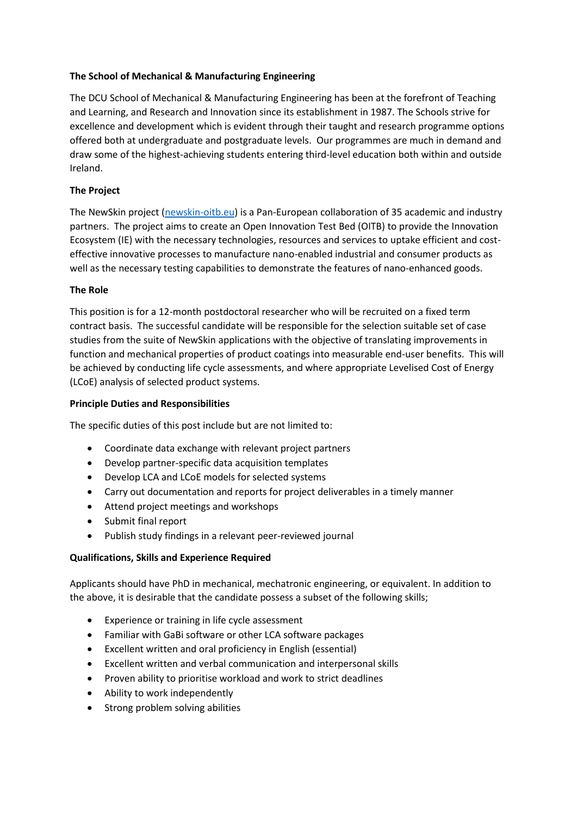## **The School of Mechanical & Manufacturing Engineering**

The DCU School of Mechanical & Manufacturing Engineering has been at the forefront of Teaching and Learning, and Research and Innovation since its establishment in 1987. The Schools strive for excellence and development which is evident through their taught and research programme options offered both at undergraduate and postgraduate levels. Our programmes are much in demand and draw some of the highest-achieving students entering third-level education both within and outside Ireland.

## **The Project**

The NewSkin project [\(newskin-oitb.eu\)](file:///C:/Users/flynnni/Downloads/newskin-oitb.eu) is a Pan-European collaboration of 35 academic and industry partners. The project aims to create an Open Innovation Test Bed (OITB) to provide the Innovation Ecosystem (IE) with the necessary technologies, resources and services to uptake efficient and costeffective innovative processes to manufacture nano-enabled industrial and consumer products as well as the necessary testing capabilities to demonstrate the features of nano-enhanced goods.

## **The Role**

This position is for a 12-month postdoctoral researcher who will be recruited on a fixed term contract basis. The successful candidate will be responsible for the selection suitable set of case studies from the suite of NewSkin applications with the objective of translating improvements in function and mechanical properties of product coatings into measurable end-user benefits. This will be achieved by conducting life cycle assessments, and where appropriate Levelised Cost of Energy (LCoE) analysis of selected product systems.

#### **Principle Duties and Responsibilities**

The specific duties of this post include but are not limited to:

- Coordinate data exchange with relevant project partners
- Develop partner-specific data acquisition templates
- Develop LCA and LCoE models for selected systems
- Carry out documentation and reports for project deliverables in a timely manner
- Attend project meetings and workshops
- Submit final report
- Publish study findings in a relevant peer-reviewed journal

#### **Qualifications, Skills and Experience Required**

Applicants should have PhD in mechanical, mechatronic engineering, or equivalent. In addition to the above, it is desirable that the candidate possess a subset of the following skills;

- Experience or training in life cycle assessment
- Familiar with GaBi software or other LCA software packages
- Excellent written and oral proficiency in English (essential)
- Excellent written and verbal communication and interpersonal skills
- Proven ability to prioritise workload and work to strict deadlines
- Ability to work independently
- Strong problem solving abilities